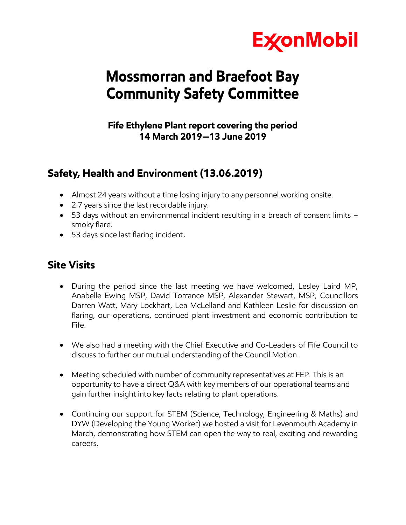

# **Mossmorran and Braefoot Bay Community Safety Committee**

### **Fife Ethylene Plant report covering the period 14 March 2019—13 June 2019**

# **Safety, Health and Environment (13.06.2019)**

- Almost 24 years without a time losing injury to any personnel working onsite.
- 2.7 years since the last recordable injury.
- 53 days without an environmental incident resulting in a breach of consent limits smoky flare.
- 53 days since last flaring incident.

# **Site Visits**

- During the period since the last meeting we have welcomed, Lesley Laird MP, Anabelle Ewing MSP, David Torrance MSP, Alexander Stewart, MSP, Councillors Darren Watt, Mary Lockhart, Lea McLelland and Kathleen Leslie for discussion on flaring, our operations, continued plant investment and economic contribution to Fife.
- We also had a meeting with the Chief Executive and Co-Leaders of Fife Council to discuss to further our mutual understanding of the Council Motion.
- Meeting scheduled with number of community representatives at FEP. This is an opportunity to have a direct Q&A with key members of our operational teams and gain further insight into key facts relating to plant operations.
- Continuing our support for STEM (Science, Technology, Engineering & Maths) and DYW (Developing the Young Worker) we hosted a visit for Levenmouth Academy in March, demonstrating how STEM can open the way to real, exciting and rewarding careers.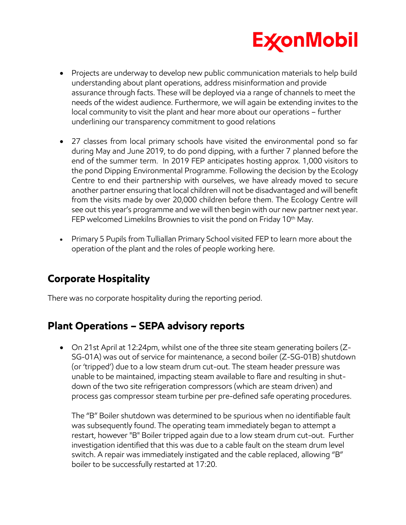

- Projects are underway to develop new public communication materials to help build understanding about plant operations, address misinformation and provide assurance through facts. These will be deployed via a range of channels to meet the needs of the widest audience. Furthermore, we will again be extending invites to the local community to visit the plant and hear more about our operations – further underlining our transparency commitment to good relations
- 27 classes from local primary schools have visited the environmental pond so far during May and June 2019, to do pond dipping, with a further 7 planned before the end of the summer term. In 2019 FEP anticipates hosting approx. 1,000 visitors to the pond Dipping Environmental Programme. Following the decision by the Ecology Centre to end their partnership with ourselves, we have already moved to secure another partner ensuring that local children will not be disadvantaged and will benefit from the visits made by over 20,000 children before them. The Ecology Centre will see out this year's programme and we will then begin with our new partner next year. FEP welcomed Limekilns Brownies to visit the pond on Friday 10<sup>th</sup> May.
- Primary 5 Pupils from Tulliallan Primary School visited FEP to learn more about the operation of the plant and the roles of people working here.

# **Corporate Hospitality**

There was no corporate hospitality during the reporting period.

# **Plant Operations – SEPA advisory reports**

 On 21st April at 12:24pm, whilst one of the three site steam generating boilers (Z-SG-01A) was out of service for maintenance, a second boiler (Z-SG-01B) shutdown (or 'tripped') due to a low steam drum cut-out. The steam header pressure was unable to be maintained, impacting steam available to flare and resulting in shutdown of the two site refrigeration compressors (which are steam driven) and process gas compressor steam turbine per pre-defined safe operating procedures.

The "B" Boiler shutdown was determined to be spurious when no identifiable fault was subsequently found. The operating team immediately began to attempt a restart, however "B" Boiler tripped again due to a low steam drum cut-out. Further investigation identified that this was due to a cable fault on the steam drum level switch. A repair was immediately instigated and the cable replaced, allowing "B" boiler to be successfully restarted at 17:20.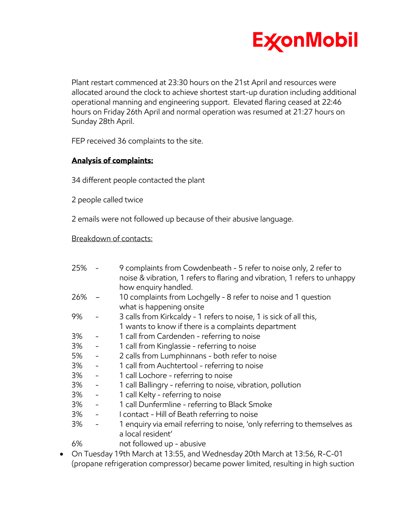

Plant restart commenced at 23:30 hours on the 21st April and resources were allocated around the clock to achieve shortest start-up duration including additional operational manning and engineering support. Elevated flaring ceased at 22:46 hours on Friday 26th April and normal operation was resumed at 21:27 hours on Sunday 28th April.

FEP received 36 complaints to the site.

#### **Analysis of complaints:**

34 different people contacted the plant

2 people called twice

2 emails were not followed up because of their abusive language.

#### Breakdown of contacts:

| 25% - |                          | 9 complaints from Cowdenbeath - 5 refer to noise only, 2 refer to<br>noise & vibration, 1 refers to flaring and vibration, 1 refers to unhappy |
|-------|--------------------------|------------------------------------------------------------------------------------------------------------------------------------------------|
|       |                          | how enquiry handled.                                                                                                                           |
| 26%   |                          | 10 complaints from Lochgelly - 8 refer to noise and 1 question<br>what is happening onsite                                                     |
| 9%    | $\overline{\phantom{a}}$ | 3 calls from Kirkcaldy - 1 refers to noise, 1 is sick of all this,                                                                             |
|       |                          | 1 wants to know if there is a complaints department                                                                                            |
| 3%    | $\overline{\phantom{a}}$ | 1 call from Cardenden - referring to noise                                                                                                     |
| 3%    | $\sim$ $ \sim$           | 1 call from Kinglassie - referring to noise                                                                                                    |
| 5%    | $\sim$                   | 2 calls from Lumphinnans - both refer to noise                                                                                                 |
| 3%    | $\sigma_{\rm eff}$       | 1 call from Auchtertool - referring to noise                                                                                                   |
| 3%    | $\frac{1}{\sqrt{2}}$     | 1 call Lochore - referring to noise                                                                                                            |
| 3%    | $\sim$                   | 1 call Ballingry - referring to noise, vibration, pollution                                                                                    |
| 3%    | $\sim$ $-$               | 1 call Kelty - referring to noise                                                                                                              |
| 3%    | $\sim$                   | 1 call Dunfermline - referring to Black Smoke                                                                                                  |
| 3%    | $\sim$ $ \sim$           | I contact - Hill of Beath referring to noise                                                                                                   |
| 3%    | $\overline{\phantom{0}}$ | 1 enquiry via email referring to noise, 'only referring to themselves as                                                                       |
|       |                          | a local resident'                                                                                                                              |
| 6%    |                          | not followed up - abusive                                                                                                                      |
|       |                          | On Tuesday 10th March at 12:55, and Wednesday 20th March at 12:56 D.C. 01                                                                      |

 On Tuesday 19th March at 13:55, and Wednesday 20th March at 13:56, R-C-01 (propane refrigeration compressor) became power limited, resulting in high suction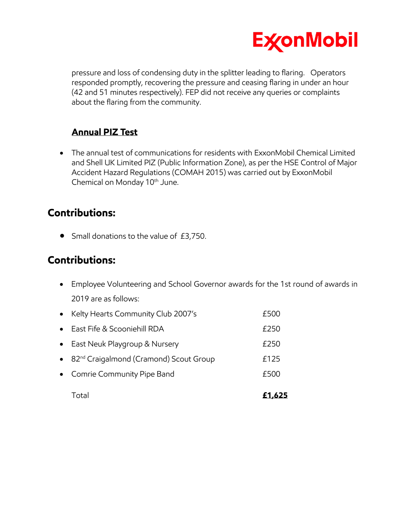

pressure and loss of condensing duty in the splitter leading to flaring. Operators responded promptly, recovering the pressure and ceasing flaring in under an hour (42 and 51 minutes respectively). FEP did not receive any queries or complaints about the flaring from the community.

### **Annual PIZ Test**

 The annual test of communications for residents with ExxonMobil Chemical Limited and Shell UK Limited PIZ (Public Information Zone), as per the HSE Control of Major Accident Hazard Regulations (COMAH 2015) was carried out by ExxonMobil Chemical on Monday 10<sup>th</sup> June.

### **Contributions:**

• Small donations to the value of £3,750.

### **Contributions:**

- Employee Volunteering and School Governor awards for the 1st round of awards in 2019 are as follows:
- Kelty Hearts Community Club 2007's £500 ● East Fife & Scooniehill RDA **250** • East Neuk Playgroup & Nursery **East Neuk Playgroup & Nursery** • 82<sup>nd</sup> Craigalmond (Cramond) Scout Group **Election** £125 • Comrie Community Pipe Band **EXALL EXALCE 1999** Total **£1,625**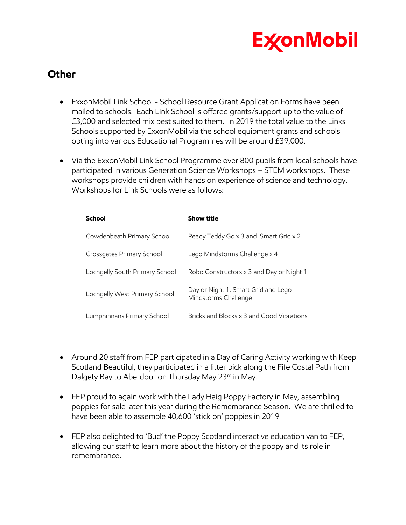

### **Other**

- ExxonMobil Link School School Resource Grant Application Forms have been mailed to schools. Each Link School is offered grants/support up to the value of £3,000 and selected mix best suited to them. In 2019 the total value to the Links Schools supported by ExxonMobil via the school equipment grants and schools opting into various Educational Programmes will be around £39,000.
- Via the ExxonMobil Link School Programme over 800 pupils from local schools have participated in various Generation Science Workshops – STEM workshops. These workshops provide children with hands on experience of science and technology. Workshops for Link Schools were as follows:

| <b>School</b>                  | <b>Show title</b>                                           |
|--------------------------------|-------------------------------------------------------------|
| Cowdenbeath Primary School     | Ready Teddy Go x 3 and Smart Grid x 2                       |
| Crossgates Primary School      | Lego Mindstorms Challenge x 4                               |
| Lochgelly South Primary School | Robo Constructors x 3 and Day or Night 1                    |
| Lochgelly West Primary School  | Day or Night 1, Smart Grid and Lego<br>Mindstorms Challenge |
| Lumphinnans Primary School     | Bricks and Blocks x 3 and Good Vibrations                   |

- Around 20 staff from FEP participated in a Day of Caring Activity working with Keep Scotland Beautiful, they participated in a litter pick along the Fife Costal Path from Dalgety Bay to Aberdour on Thursday May 23<sup>rd</sup>.in May.
- FEP proud to again work with the Lady Haig Poppy Factory in May, assembling poppies for sale later this year during the Remembrance Season. We are thrilled to have been able to assemble 40,600 'stick on' poppies in 2019
- FEP also delighted to 'Bud' the Poppy Scotland interactive education van to FEP, allowing our staff to learn more about the history of the poppy and its role in remembrance.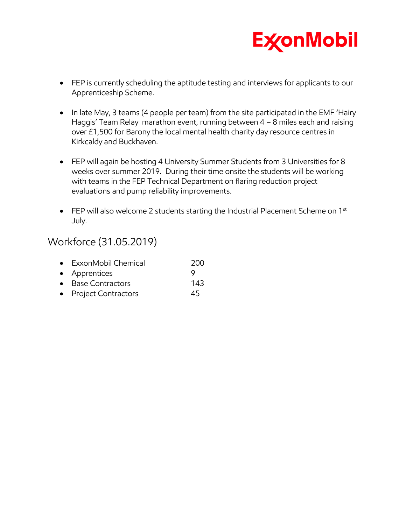

- FEP is currently scheduling the aptitude testing and interviews for applicants to our Apprenticeship Scheme.
- In late May, 3 teams (4 people per team) from the site participated in the EMF 'Hairy Haggis' Team Relay marathon event, running between 4 – 8 miles each and raising over £1,500 for Barony the local mental health charity day resource centres in Kirkcaldy and Buckhaven.
- FEP will again be hosting 4 University Summer Students from 3 Universities for 8 weeks over summer 2019. During their time onsite the students will be working with teams in the FEP Technical Department on flaring reduction project evaluations and pump reliability improvements.
- **•** FEP will also welcome 2 students starting the Industrial Placement Scheme on 1st July.

### Workforce (31.05.2019)

| • ExxonMobil Chemical | 200 |
|-----------------------|-----|
| • Apprentices         |     |
| • Base Contractors    | 143 |
| • Project Contractors | 45  |